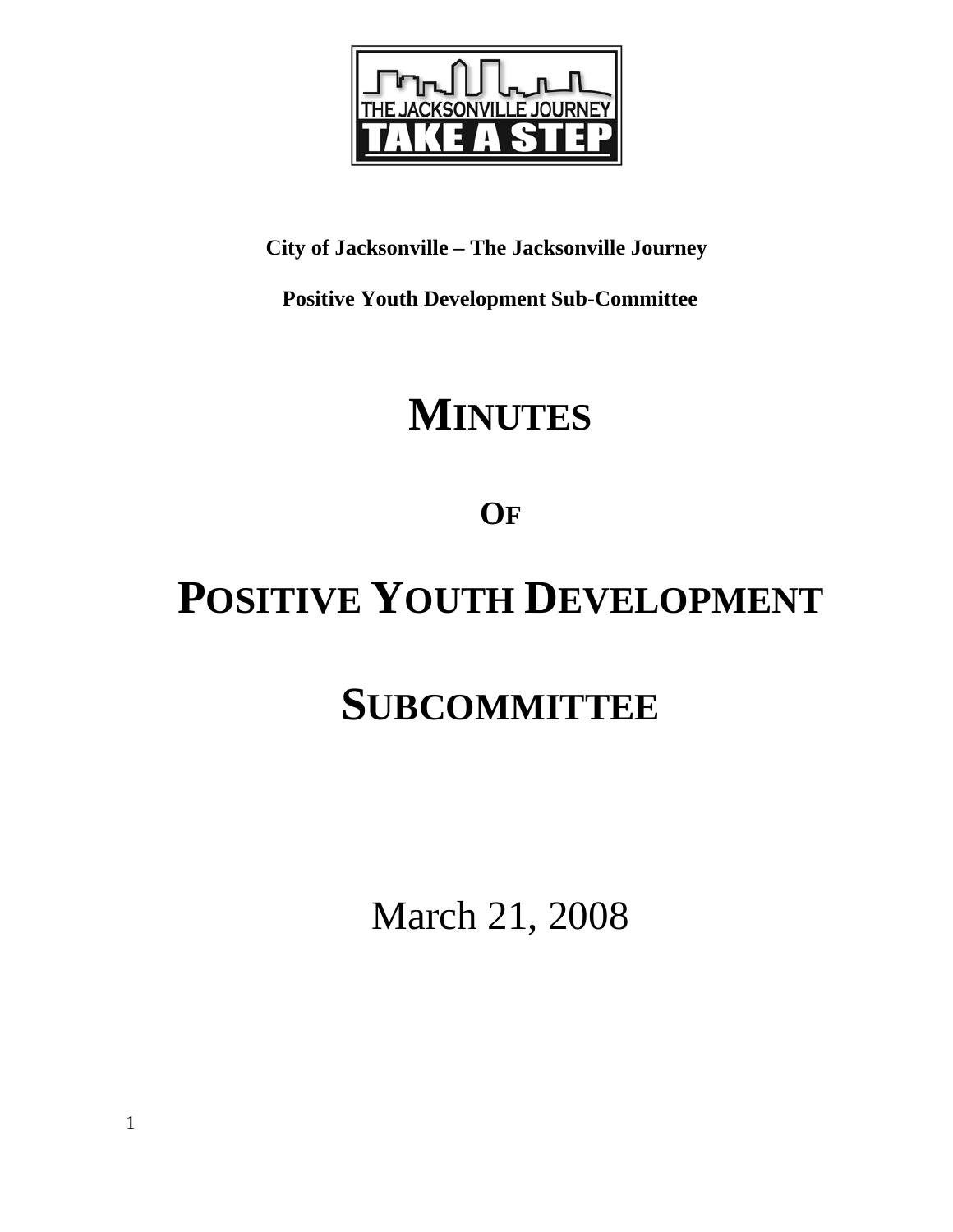

# **City of Jacksonville – The Jacksonville Journey**

 **Positive Youth Development Sub-Committee** 

# **MINUTES**

**OF**

# **POSITIVE YOUTH DEVELOPMENT**

# **SUBCOMMITTEE**

March 21, 2008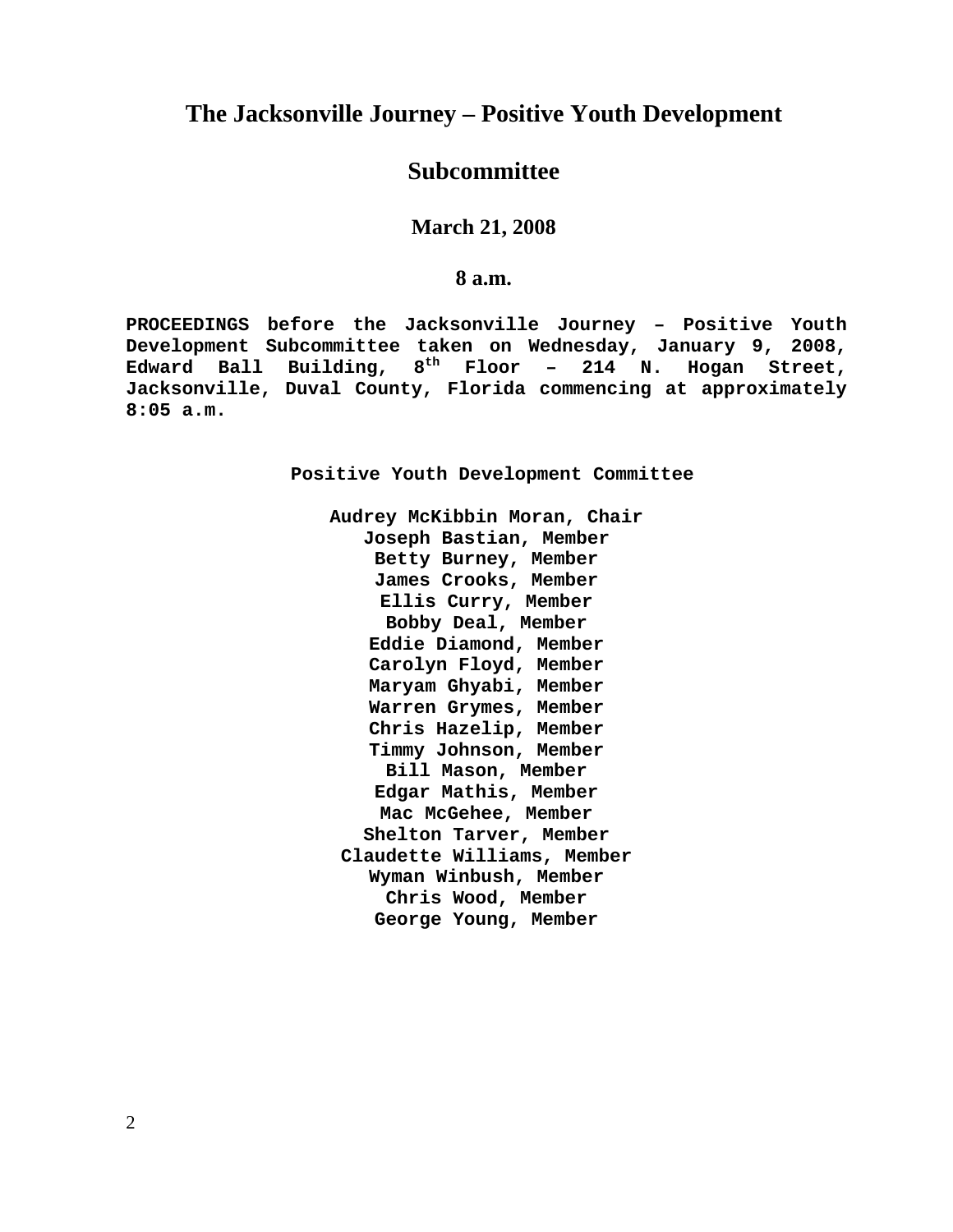## **The Jacksonville Journey – Positive Youth Development**

## **Subcommittee**

**March 21, 2008** 

**8 a.m.**

**PROCEEDINGS before the Jacksonville Journey – Positive Youth Development Subcommittee taken on Wednesday, January 9, 2008, Edward Ball Building, 8th Floor – 214 N. Hogan Street, Jacksonville, Duval County, Florida commencing at approximately 8:05 a.m.** 

**Positive Youth Development Committee** 

**Audrey McKibbin Moran, Chair Joseph Bastian, Member Betty Burney, Member James Crooks, Member Ellis Curry, Member Bobby Deal, Member Eddie Diamond, Member Carolyn Floyd, Member Maryam Ghyabi, Member Warren Grymes, Member Chris Hazelip, Member Timmy Johnson, Member Bill Mason, Member Edgar Mathis, Member Mac McGehee, Member Shelton Tarver, Member Claudette Williams, Member Wyman Winbush, Member Chris Wood, Member George Young, Member**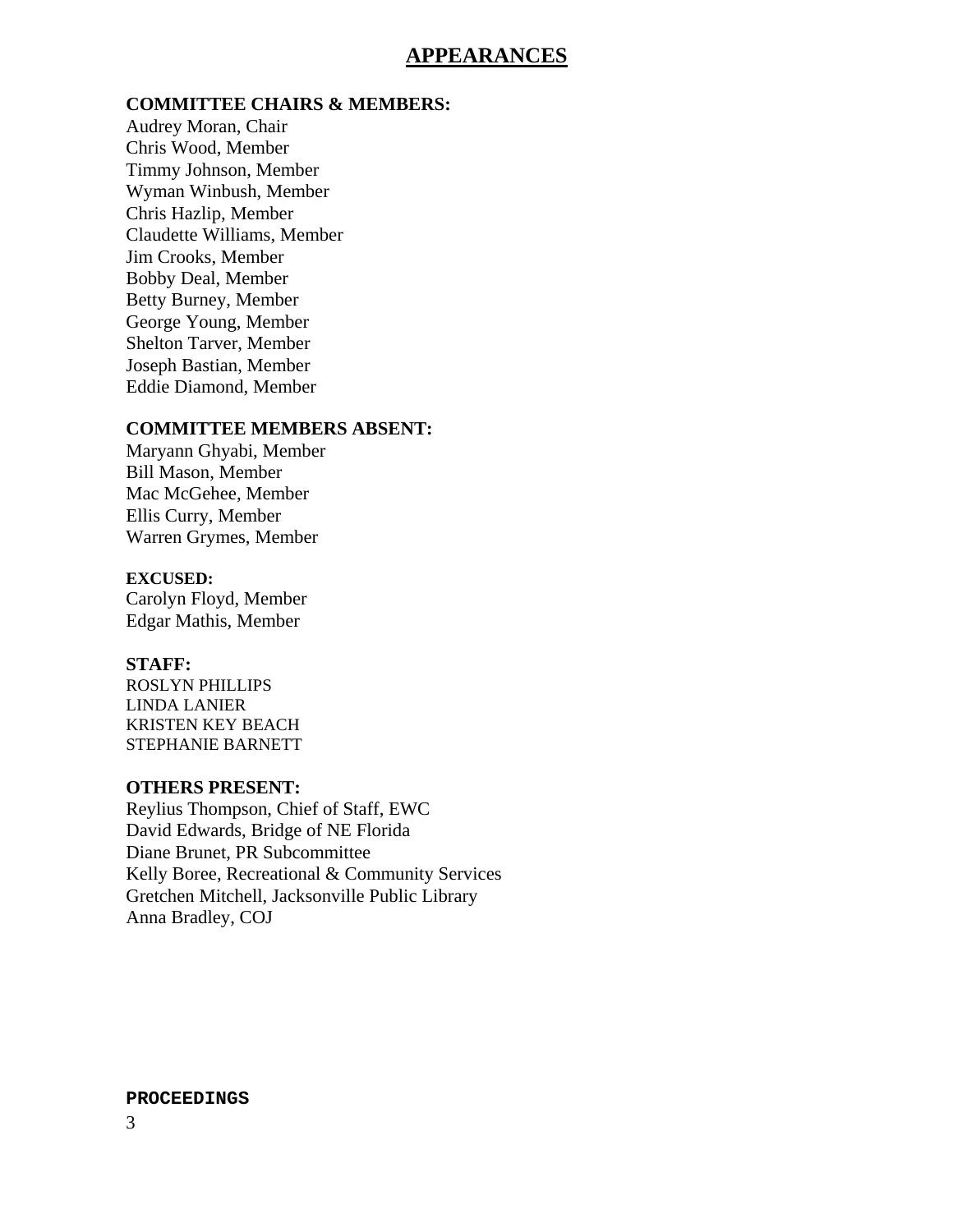## **APPEARANCES**

#### **COMMITTEE CHAIRS & MEMBERS:**

Audrey Moran, Chair Chris Wood, Member Timmy Johnson, Member Wyman Winbush, Member Chris Hazlip, Member Claudette Williams, Member Jim Crooks, Member Bobby Deal, Member Betty Burney, Member George Young, Member Shelton Tarver, Member Joseph Bastian, Member Eddie Diamond, Member

### **COMMITTEE MEMBERS ABSENT:**

Maryann Ghyabi, Member Bill Mason, Member Mac McGehee, Member Ellis Curry, Member Warren Grymes, Member

#### **EXCUSED:**

Carolyn Floyd, Member Edgar Mathis, Member

#### **STAFF:**

ROSLYN PHILLIPS LINDA LANIER KRISTEN KEY BEACH STEPHANIE BARNETT

### **OTHERS PRESENT:**

Reylius Thompson, Chief of Staff, EWC David Edwards, Bridge of NE Florida Diane Brunet, PR Subcommittee Kelly Boree, Recreational & Community Services Gretchen Mitchell, Jacksonville Public Library Anna Bradley, COJ

#### **PROCEEDINGS**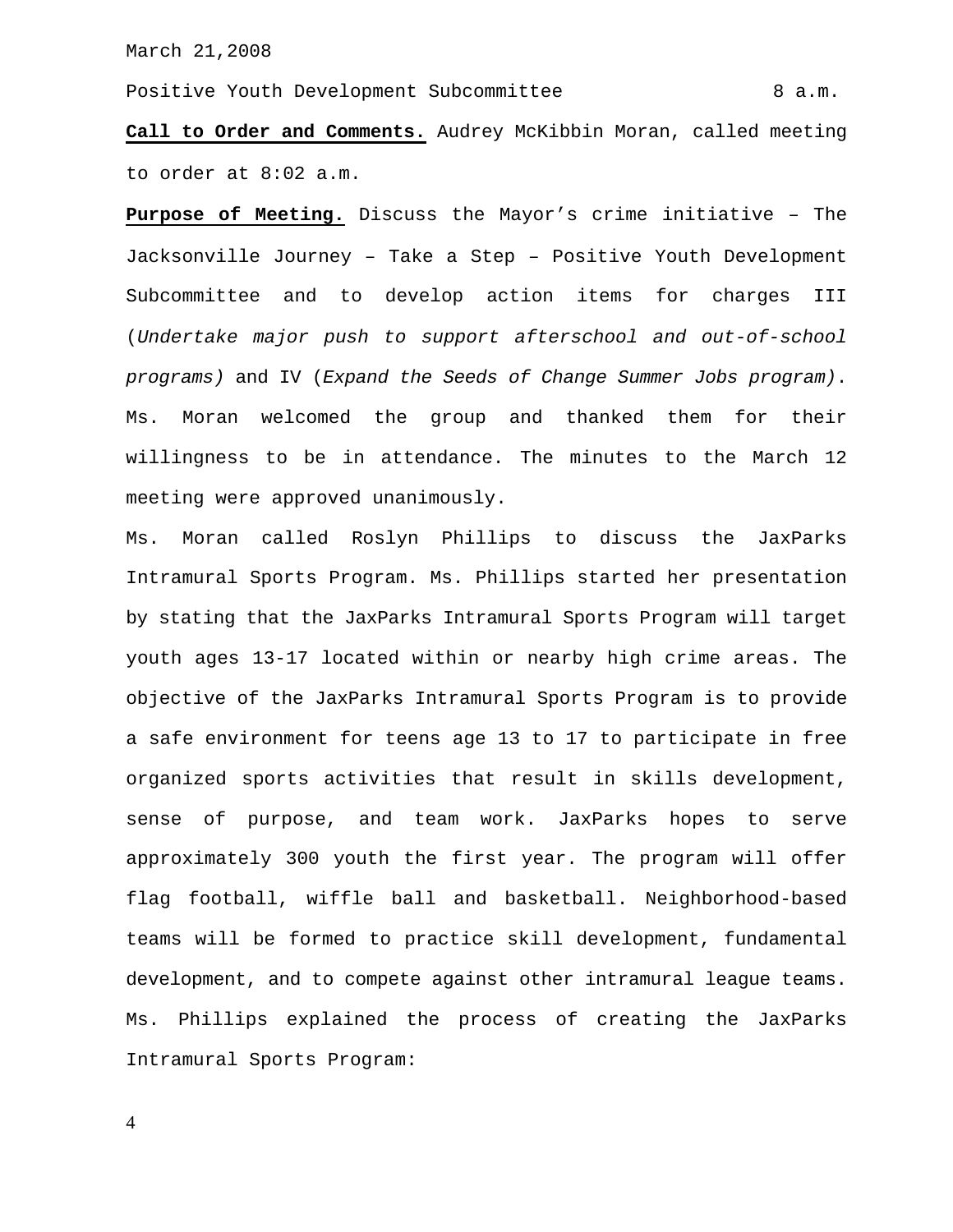Positive Youth Development Subcommittee 6 a.m.

**Call to Order and Comments.** Audrey McKibbin Moran, called meeting to order at 8:02 a.m.

**Purpose of Meeting.** Discuss the Mayor's crime initiative – The Jacksonville Journey – Take a Step – Positive Youth Development Subcommittee and to develop action items for charges III (*Undertake major push to support afterschool and out-of-school programs)* and IV (*Expand the Seeds of Change Summer Jobs program)*. Ms. Moran welcomed the group and thanked them for their willingness to be in attendance. The minutes to the March 12 meeting were approved unanimously.

Ms. Moran called Roslyn Phillips to discuss the JaxParks Intramural Sports Program. Ms. Phillips started her presentation by stating that the JaxParks Intramural Sports Program will target youth ages 13-17 located within or nearby high crime areas. The objective of the JaxParks Intramural Sports Program is to provide a safe environment for teens age 13 to 17 to participate in free organized sports activities that result in skills development, sense of purpose, and team work. JaxParks hopes to serve approximately 300 youth the first year. The program will offer flag football, wiffle ball and basketball. Neighborhood-based teams will be formed to practice skill development, fundamental development, and to compete against other intramural league teams. Ms. Phillips explained the process of creating the JaxParks Intramural Sports Program: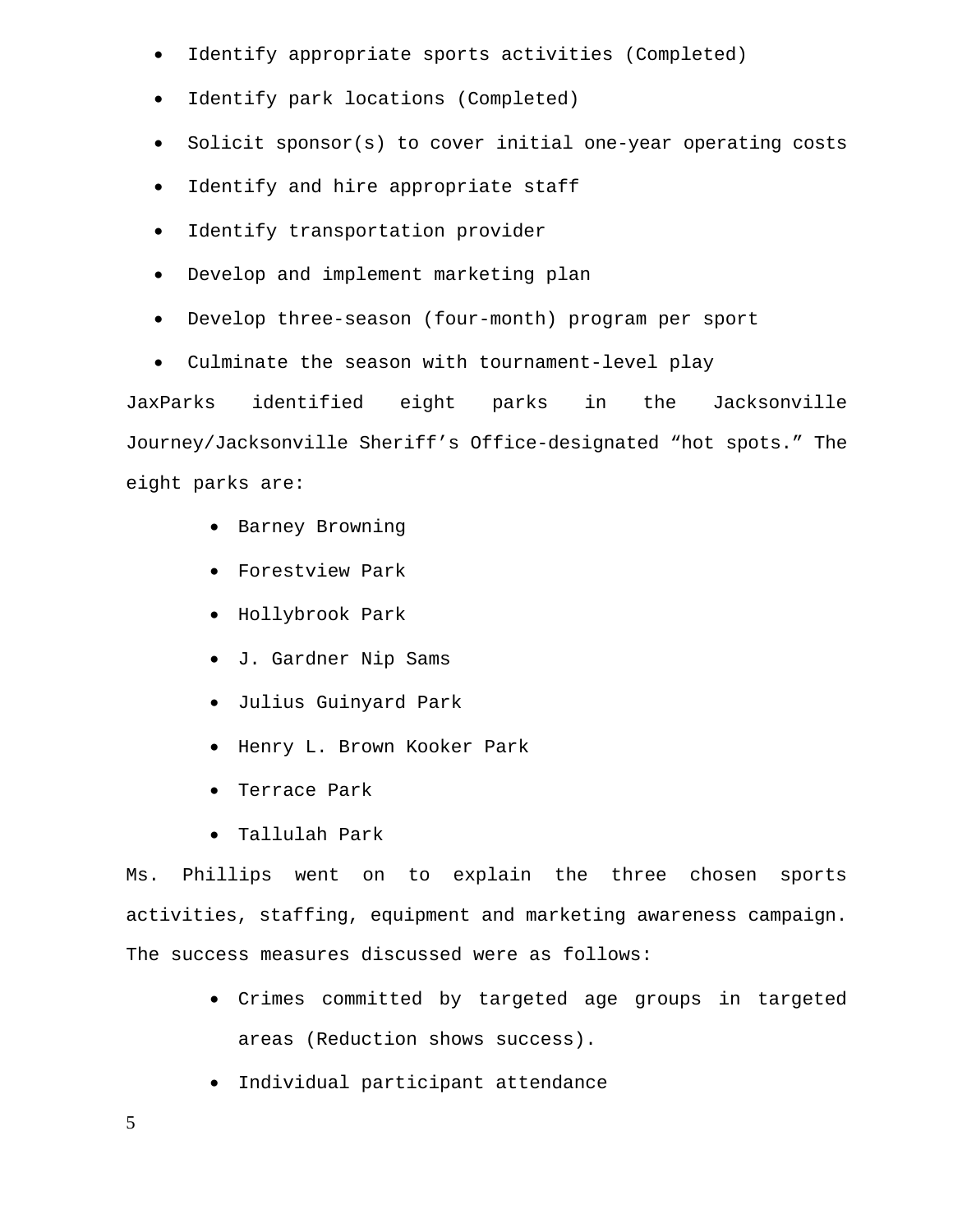- Identify appropriate sports activities (Completed)
- Identify park locations (Completed)
- Solicit sponsor(s) to cover initial one-year operating costs
- Identify and hire appropriate staff
- Identify transportation provider
- Develop and implement marketing plan
- Develop three-season (four-month) program per sport
- Culminate the season with tournament-level play

JaxParks identified eight parks in the Jacksonville Journey/Jacksonville Sheriff's Office-designated "hot spots." The eight parks are:

- Barney Browning
- Forestview Park
- Hollybrook Park
- J. Gardner Nip Sams
- Julius Guinyard Park
- Henry L. Brown Kooker Park
- Terrace Park
- Tallulah Park

Ms. Phillips went on to explain the three chosen sports activities, staffing, equipment and marketing awareness campaign. The success measures discussed were as follows:

- Crimes committed by targeted age groups in targeted areas (Reduction shows success).
- Individual participant attendance
- 5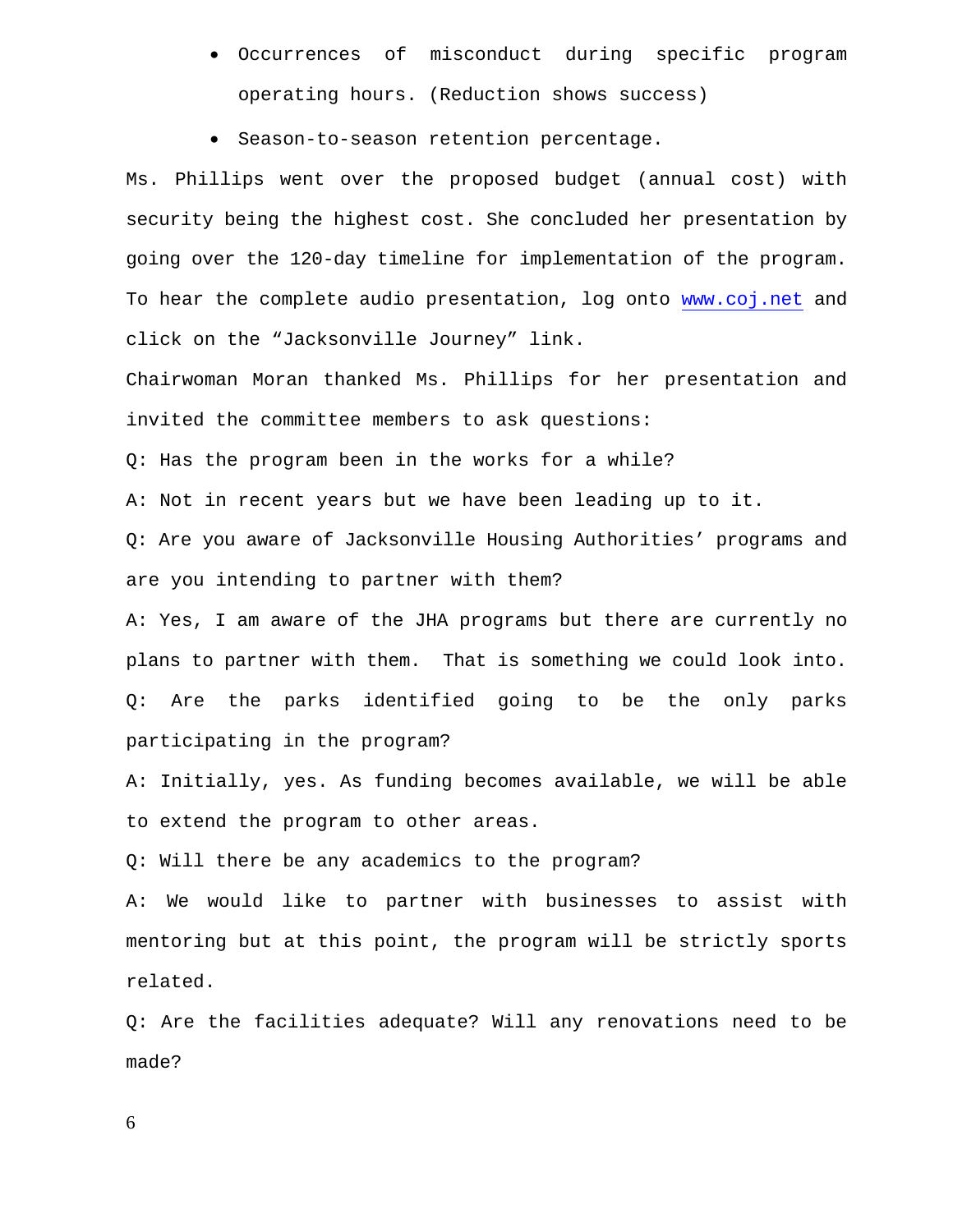- Occurrences of misconduct during specific program operating hours. (Reduction shows success)
- Season-to-season retention percentage.

Ms. Phillips went over the proposed budget (annual cost) with security being the highest cost. She concluded her presentation by going over the 120-day timeline for implementation of the program. To hear the complete audio presentation, log onto www.coj.net and click on the "Jacksonville Journey" link.

Chairwoman Moran thanked Ms. Phillips for her presentation and invited the committee members to ask questions:

Q: Has the program been in the works for a while?

A: Not in recent years but we have been leading up to it.

Q: Are you aware of Jacksonville Housing Authorities' programs and are you intending to partner with them?

A: Yes, I am aware of the JHA programs but there are currently no plans to partner with them. That is something we could look into. Q: Are the parks identified going to be the only parks participating in the program?

A: Initially, yes. As funding becomes available, we will be able to extend the program to other areas.

Q: Will there be any academics to the program?

A: We would like to partner with businesses to assist with mentoring but at this point, the program will be strictly sports related.

Q: Are the facilities adequate? Will any renovations need to be made?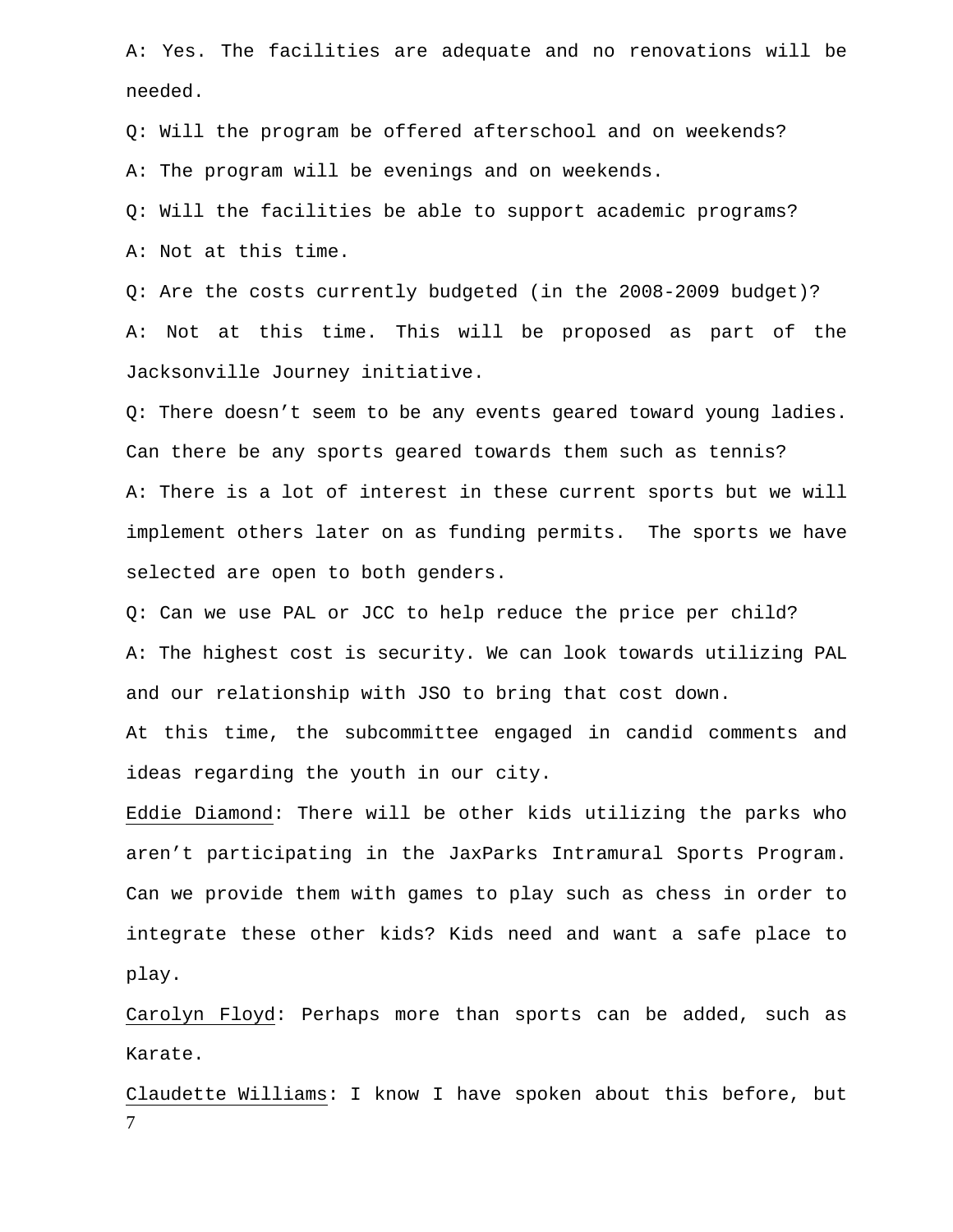A: Yes. The facilities are adequate and no renovations will be needed.

Q: Will the program be offered afterschool and on weekends? A: The program will be evenings and on weekends.

Q: Will the facilities be able to support academic programs? A: Not at this time.

Q: Are the costs currently budgeted (in the 2008-2009 budget)? A: Not at this time. This will be proposed as part of the Jacksonville Journey initiative.

Q: There doesn't seem to be any events geared toward young ladies. Can there be any sports geared towards them such as tennis? A: There is a lot of interest in these current sports but we will implement others later on as funding permits. The sports we have selected are open to both genders.

Q: Can we use PAL or JCC to help reduce the price per child? A: The highest cost is security. We can look towards utilizing PAL and our relationship with JSO to bring that cost down.

At this time, the subcommittee engaged in candid comments and ideas regarding the youth in our city.

Eddie Diamond: There will be other kids utilizing the parks who aren't participating in the JaxParks Intramural Sports Program. Can we provide them with games to play such as chess in order to integrate these other kids? Kids need and want a safe place to play.

Carolyn Floyd: Perhaps more than sports can be added, such as Karate.

7 Claudette Williams: I know I have spoken about this before, but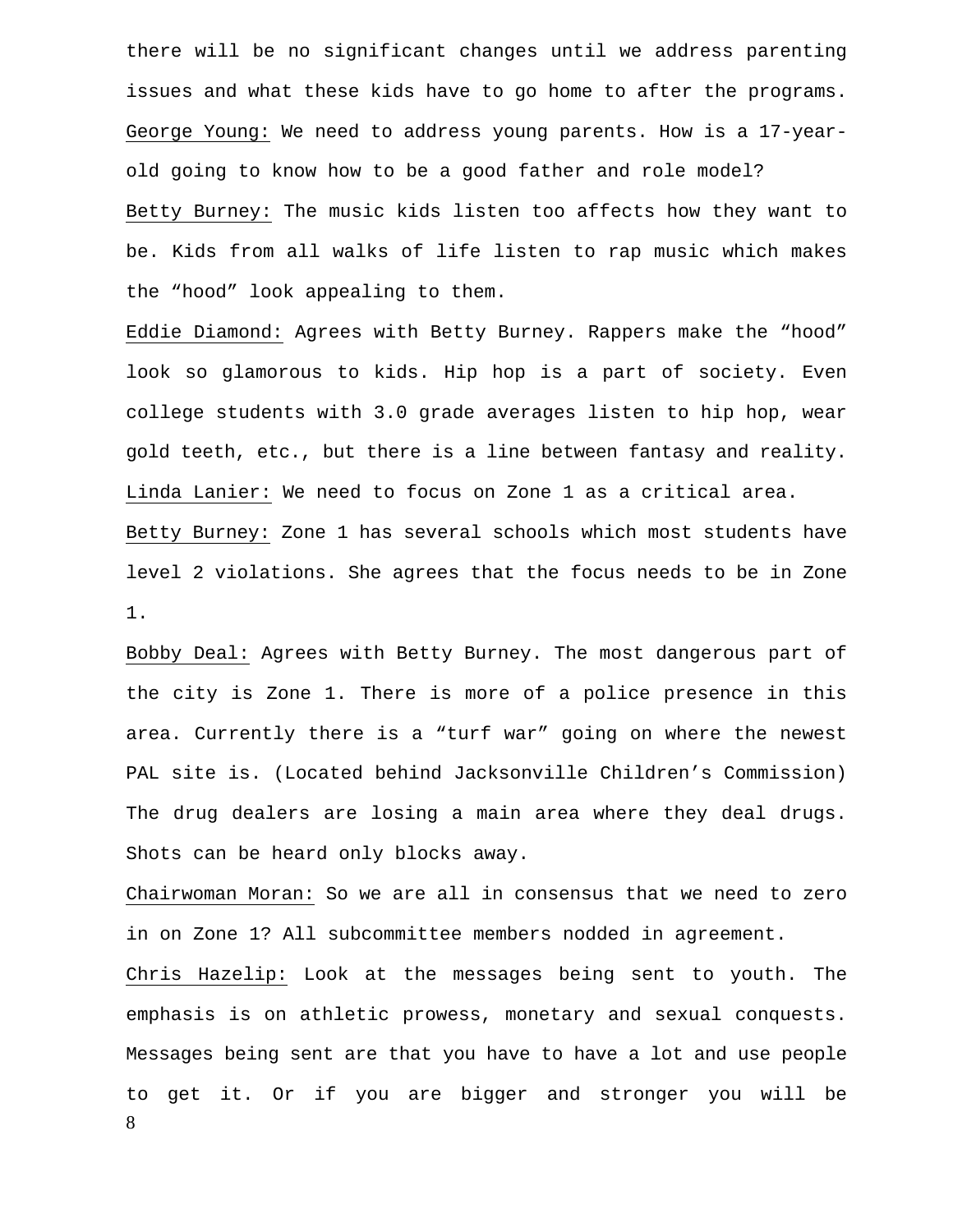there will be no significant changes until we address parenting issues and what these kids have to go home to after the programs. George Young: We need to address young parents. How is a 17-yearold going to know how to be a good father and role model? Betty Burney: The music kids listen too affects how they want to be. Kids from all walks of life listen to rap music which makes the "hood" look appealing to them.

Eddie Diamond: Agrees with Betty Burney. Rappers make the "hood" look so glamorous to kids. Hip hop is a part of society. Even college students with 3.0 grade averages listen to hip hop, wear gold teeth, etc., but there is a line between fantasy and reality. Linda Lanier: We need to focus on Zone 1 as a critical area. Betty Burney: Zone 1 has several schools which most students have level 2 violations. She agrees that the focus needs to be in Zone 1.

Bobby Deal: Agrees with Betty Burney. The most dangerous part of the city is Zone 1. There is more of a police presence in this area. Currently there is a "turf war" going on where the newest PAL site is. (Located behind Jacksonville Children's Commission) The drug dealers are losing a main area where they deal drugs. Shots can be heard only blocks away.

Chairwoman Moran: So we are all in consensus that we need to zero in on Zone 1? All subcommittee members nodded in agreement.

8 Chris Hazelip: Look at the messages being sent to youth. The emphasis is on athletic prowess, monetary and sexual conquests. Messages being sent are that you have to have a lot and use people to get it. Or if you are bigger and stronger you will be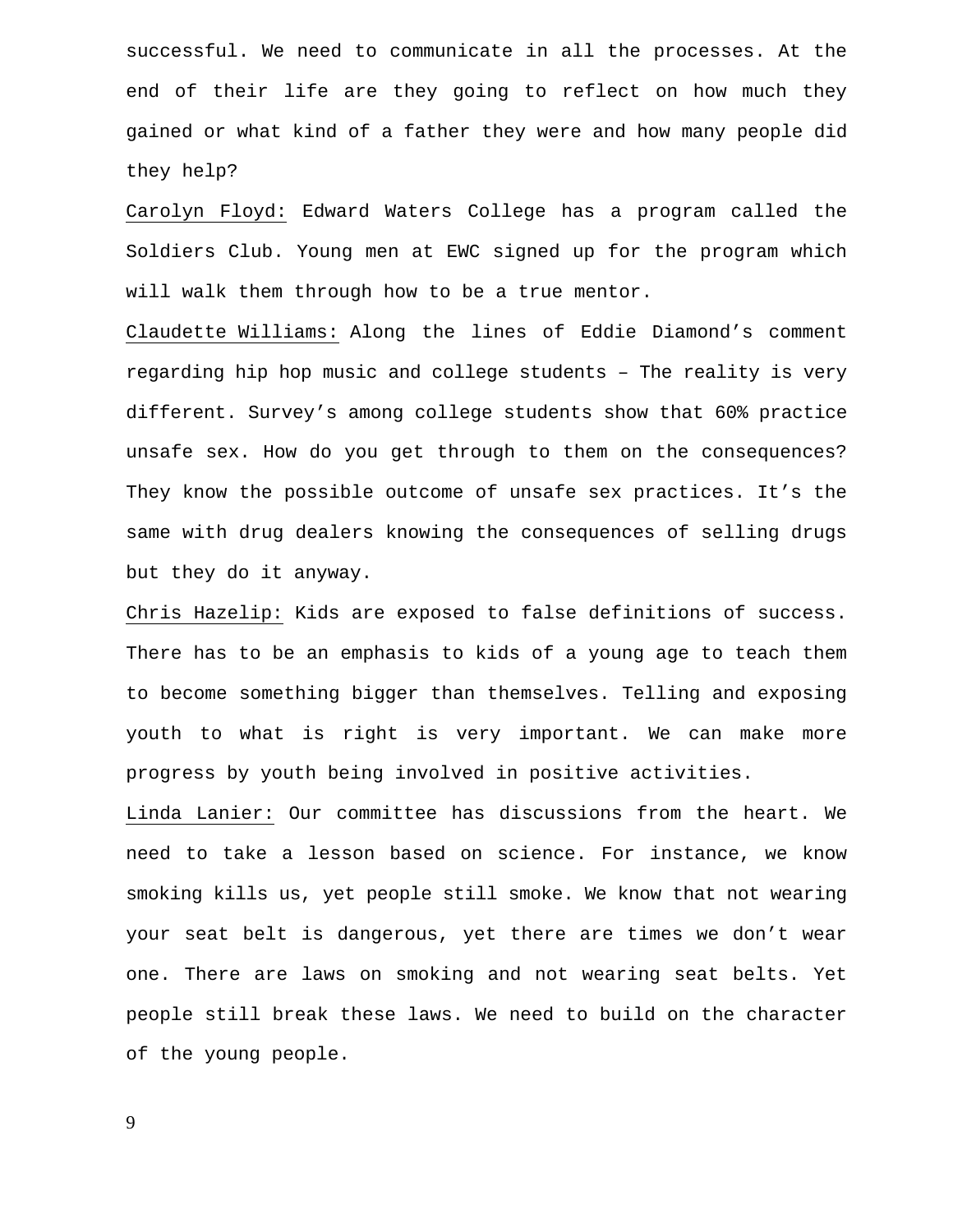successful. We need to communicate in all the processes. At the end of their life are they going to reflect on how much they gained or what kind of a father they were and how many people did they help?

Carolyn Floyd: Edward Waters College has a program called the Soldiers Club. Young men at EWC signed up for the program which will walk them through how to be a true mentor.

Claudette Williams: Along the lines of Eddie Diamond's comment regarding hip hop music and college students – The reality is very different. Survey's among college students show that 60% practice unsafe sex. How do you get through to them on the consequences? They know the possible outcome of unsafe sex practices. It's the same with drug dealers knowing the consequences of selling drugs but they do it anyway.

Chris Hazelip: Kids are exposed to false definitions of success. There has to be an emphasis to kids of a young age to teach them to become something bigger than themselves. Telling and exposing youth to what is right is very important. We can make more progress by youth being involved in positive activities.

Linda Lanier: Our committee has discussions from the heart. We need to take a lesson based on science. For instance, we know smoking kills us, yet people still smoke. We know that not wearing your seat belt is dangerous, yet there are times we don't wear one. There are laws on smoking and not wearing seat belts. Yet people still break these laws. We need to build on the character of the young people.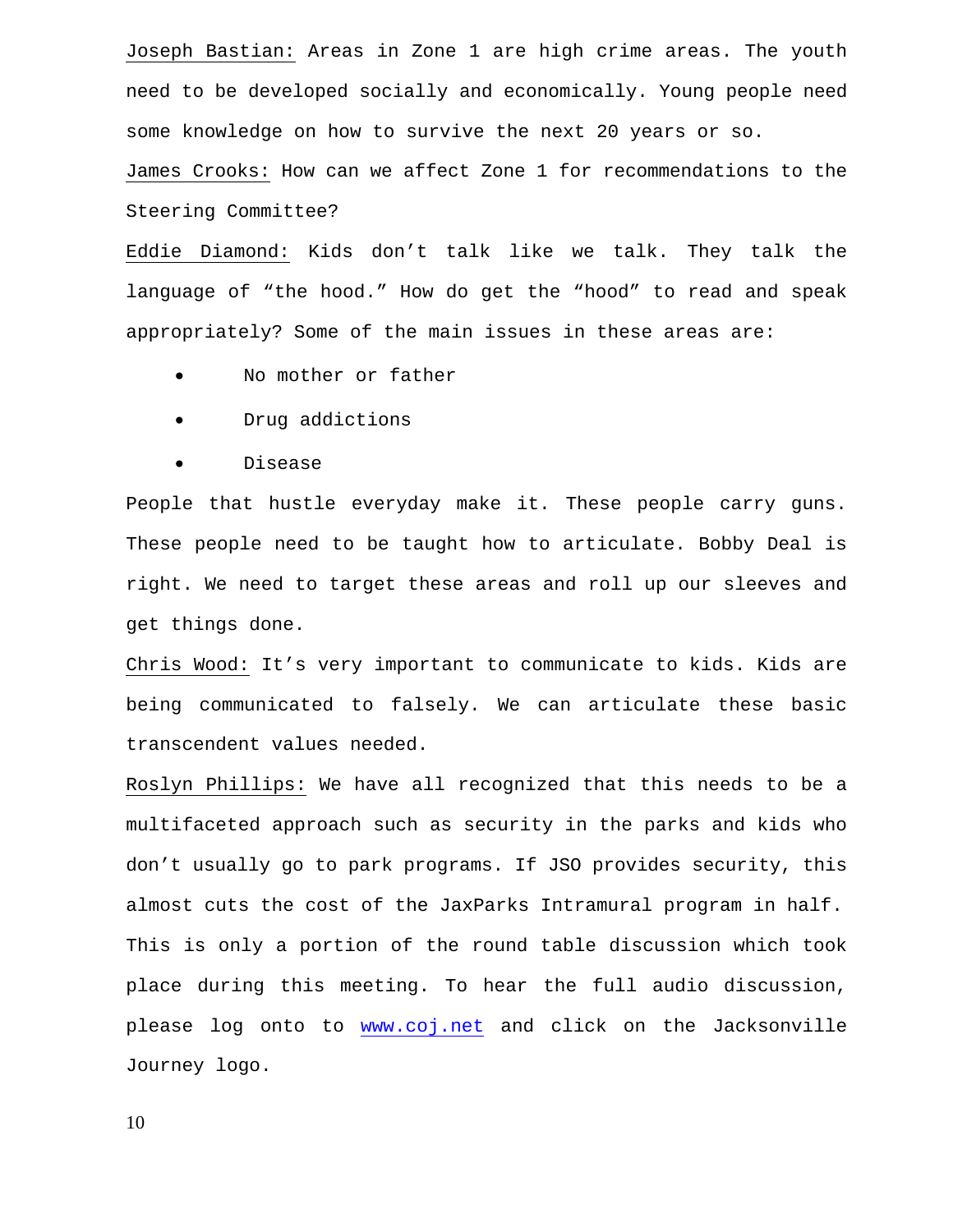Joseph Bastian: Areas in Zone 1 are high crime areas. The youth need to be developed socially and economically. Young people need some knowledge on how to survive the next 20 years or so.

James Crooks: How can we affect Zone 1 for recommendations to the Steering Committee?

Eddie Diamond: Kids don't talk like we talk. They talk the language of "the hood." How do get the "hood" to read and speak appropriately? Some of the main issues in these areas are:

- No mother or father
- Drug addictions
- Disease

People that hustle everyday make it. These people carry guns. These people need to be taught how to articulate. Bobby Deal is right. We need to target these areas and roll up our sleeves and get things done.

Chris Wood: It's very important to communicate to kids. Kids are being communicated to falsely. We can articulate these basic transcendent values needed.

Roslyn Phillips: We have all recognized that this needs to be a multifaceted approach such as security in the parks and kids who don't usually go to park programs. If JSO provides security, this almost cuts the cost of the JaxParks Intramural program in half. This is only a portion of the round table discussion which took place during this meeting. To hear the full audio discussion, please log onto to www.coj.net and click on the Jacksonville Journey logo.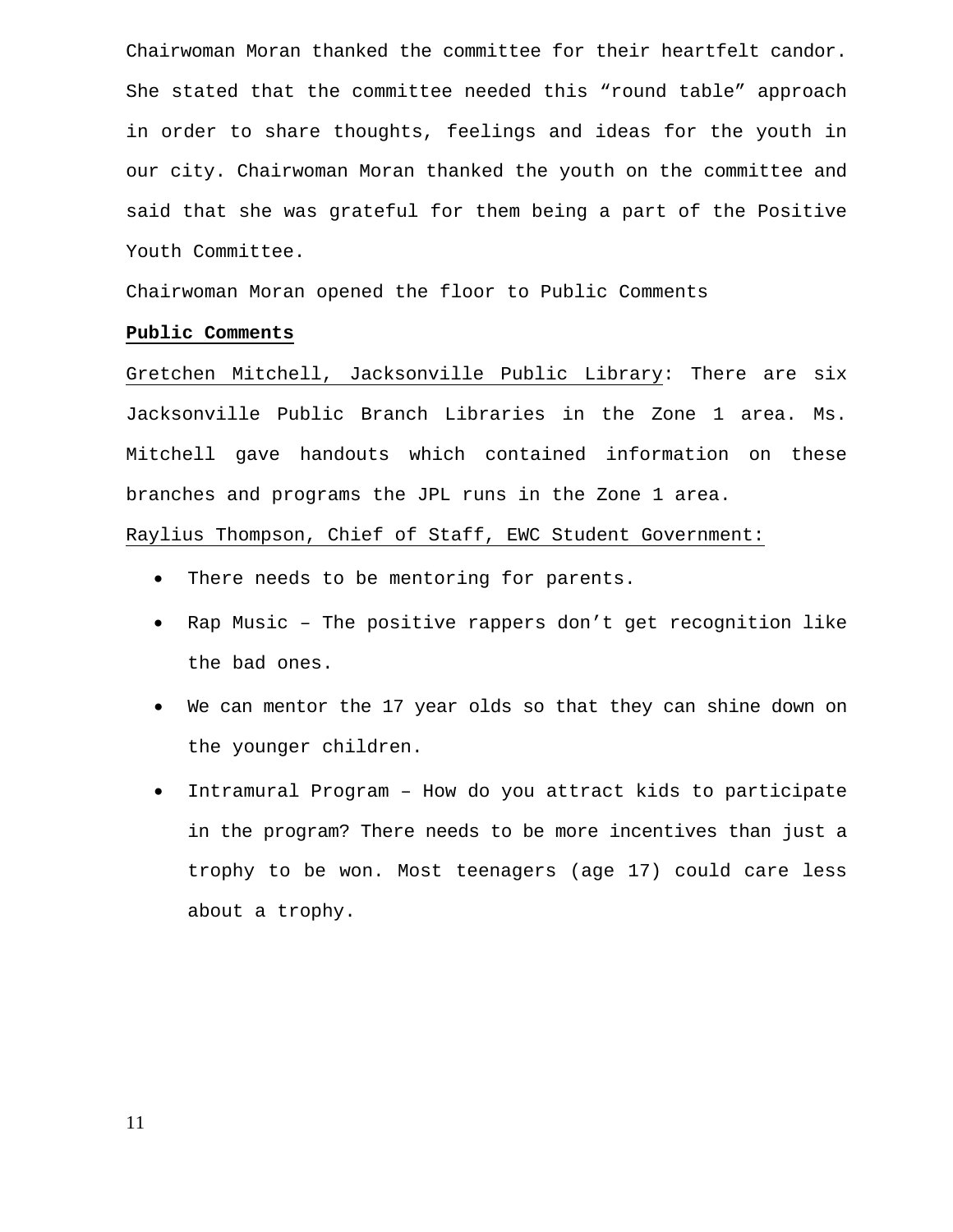Chairwoman Moran thanked the committee for their heartfelt candor. She stated that the committee needed this "round table" approach in order to share thoughts, feelings and ideas for the youth in our city. Chairwoman Moran thanked the youth on the committee and said that she was grateful for them being a part of the Positive Youth Committee.

Chairwoman Moran opened the floor to Public Comments

#### **Public Comments**

Gretchen Mitchell, Jacksonville Public Library: There are six Jacksonville Public Branch Libraries in the Zone 1 area. Ms. Mitchell gave handouts which contained information on these branches and programs the JPL runs in the Zone 1 area.

Raylius Thompson, Chief of Staff, EWC Student Government:

- There needs to be mentoring for parents.
- Rap Music The positive rappers don't get recognition like the bad ones.
- We can mentor the 17 year olds so that they can shine down on the younger children.
- Intramural Program How do you attract kids to participate in the program? There needs to be more incentives than just a trophy to be won. Most teenagers (age 17) could care less about a trophy.